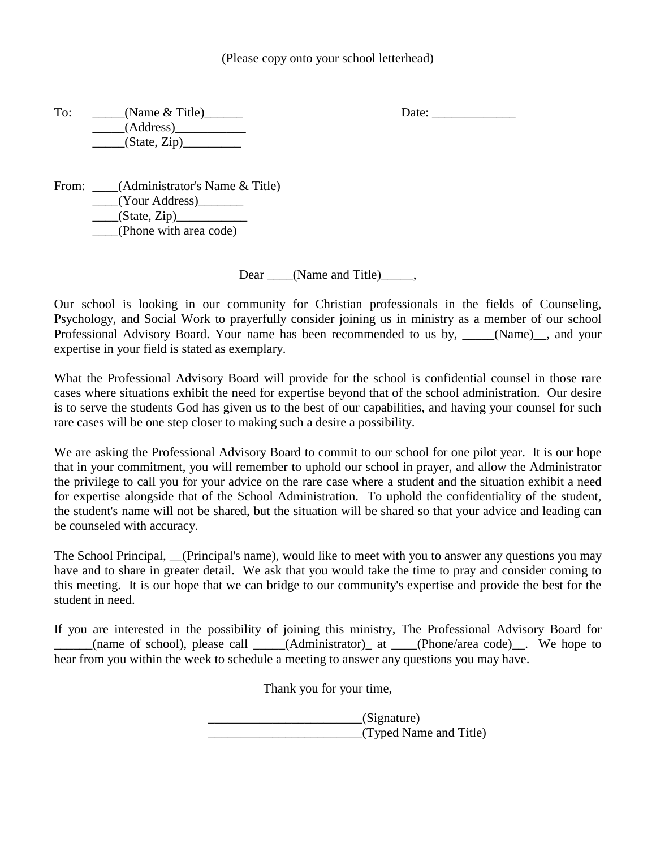To: \_\_\_\_\_(Name & Title)\_\_\_\_\_\_ Date: \_\_\_\_\_\_\_\_\_\_\_\_\_ \_\_\_\_\_(Address)\_\_\_\_\_\_\_\_\_\_\_  $\frac{\text{State, Zip}}{}$ 

From: \_\_\_\_(Administrator's Name & Title) \_\_\_\_(Your Address)\_\_\_\_\_\_\_  $\Box$ (State, Zip) $\Box$ \_\_\_\_(Phone with area code)

Dear (Name and Title),

Our school is looking in our community for Christian professionals in the fields of Counseling, Psychology, and Social Work to prayerfully consider joining us in ministry as a member of our school Professional Advisory Board. Your name has been recommended to us by, \_\_\_\_(Name)\_, and your expertise in your field is stated as exemplary.

What the Professional Advisory Board will provide for the school is confidential counsel in those rare cases where situations exhibit the need for expertise beyond that of the school administration. Our desire is to serve the students God has given us to the best of our capabilities, and having your counsel for such rare cases will be one step closer to making such a desire a possibility.

We are asking the Professional Advisory Board to commit to our school for one pilot year. It is our hope that in your commitment, you will remember to uphold our school in prayer, and allow the Administrator the privilege to call you for your advice on the rare case where a student and the situation exhibit a need for expertise alongside that of the School Administration. To uphold the confidentiality of the student, the student's name will not be shared, but the situation will be shared so that your advice and leading can be counseled with accuracy.

The School Principal, (Principal's name), would like to meet with you to answer any questions you may have and to share in greater detail. We ask that you would take the time to pray and consider coming to this meeting. It is our hope that we can bridge to our community's expertise and provide the best for the student in need.

If you are interested in the possibility of joining this ministry, The Professional Advisory Board for \_\_\_\_\_\_(name of school), please call \_\_\_\_\_(Administrator)\_ at \_\_\_\_(Phone/area code)\_\_. We hope to hear from you within the week to schedule a meeting to answer any questions you may have.

Thank you for your time,

\_\_\_\_\_\_\_\_\_\_\_\_\_\_\_\_\_\_\_\_\_\_\_\_(Signature) \_\_\_\_\_\_\_\_\_\_\_\_\_\_\_\_\_\_\_\_\_\_\_\_(Typed Name and Title)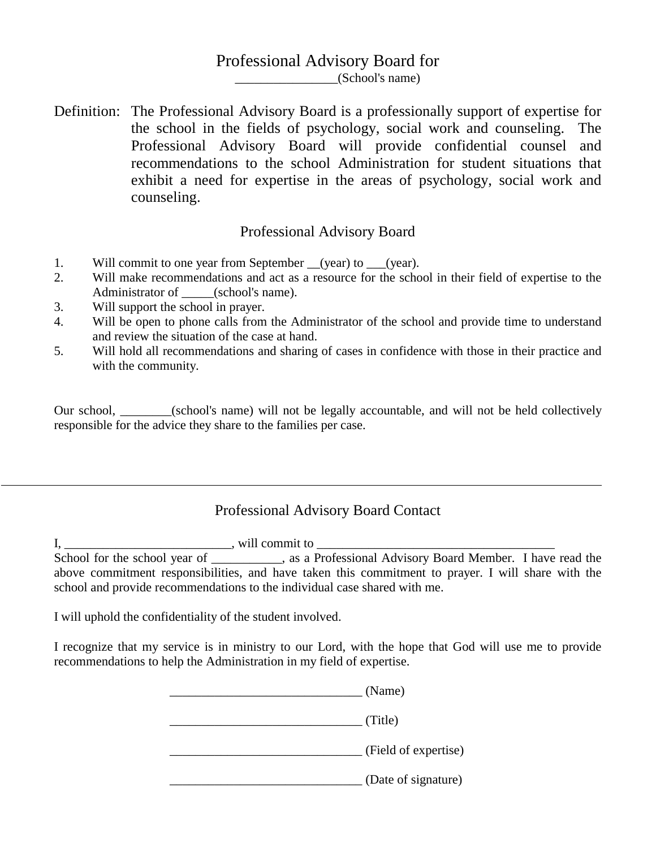## Professional Advisory Board for

\_\_\_\_\_\_\_\_\_\_\_\_\_\_\_\_(School's name)

Definition: The Professional Advisory Board is a professionally support of expertise for the school in the fields of psychology, social work and counseling. The Professional Advisory Board will provide confidential counsel and recommendations to the school Administration for student situations that exhibit a need for expertise in the areas of psychology, social work and counseling.

### Professional Advisory Board

- 1. Will commit to one year from September (year) to (year).
- 2. Will make recommendations and act as a resource for the school in their field of expertise to the Administrator of (school's name).
- 3. Will support the school in prayer.
- 4. Will be open to phone calls from the Administrator of the school and provide time to understand and review the situation of the case at hand.
- 5. Will hold all recommendations and sharing of cases in confidence with those in their practice and with the community.

Our school, \_\_\_\_\_\_\_\_(school's name) will not be legally accountable, and will not be held collectively responsible for the advice they share to the families per case.

# Professional Advisory Board Contact

I, \_\_\_\_\_\_\_\_\_\_\_\_\_\_\_\_\_\_\_\_\_\_\_\_\_\_, will commit to \_\_\_\_\_\_\_\_\_\_\_\_\_\_\_\_\_\_\_\_\_\_\_\_\_\_\_\_\_\_\_\_\_\_\_\_\_ School for the school year of \_\_\_\_\_\_\_\_\_, as a Professional Advisory Board Member. I have read the above commitment responsibilities, and have taken this commitment to prayer. I will share with the school and provide recommendations to the individual case shared with me.

I will uphold the confidentiality of the student involved.

I recognize that my service is in ministry to our Lord, with the hope that God will use me to provide recommendations to help the Administration in my field of expertise.

|  | (Name)               |
|--|----------------------|
|  | (Title)              |
|  | (Field of expertise) |
|  | (Date of signature)  |